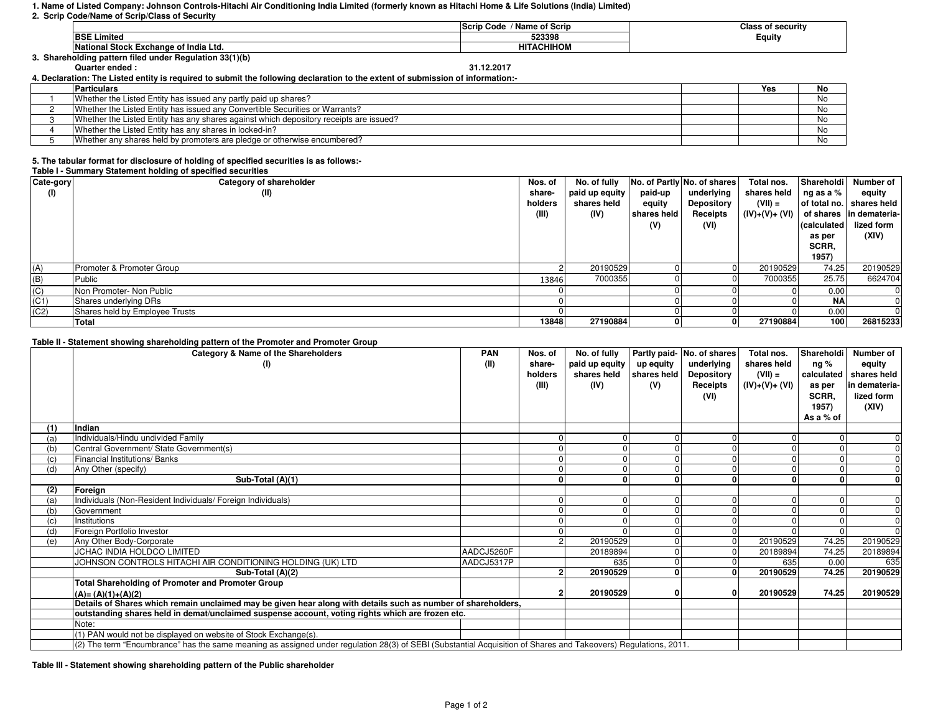# **1. Name of Listed Company: Johnson Controls-Hitachi Air Conditioning India Limited (formerly known as Hitachi Home & Life Solutions (India) Limited)**

# **2. Scrip Code/Name of Scrip/Class of Security**

|                                                         | / Name of Scrip<br>Scrip Code | <b>Class of security</b> |
|---------------------------------------------------------|-------------------------------|--------------------------|
| <b>BSE Limited</b>                                      | 523398                        | Equity                   |
| <b>National Stock Exchange of India Ltd.</b>            | <b>HITACHIHOM</b>             |                          |
| 3. Shareholding pattern filed under Regulation 33(1)(b) |                               |                          |
| <b>Quarter ended:</b>                                   | 31.12.2017                    |                          |

**4. Declaration: The Listed entity is required to submit the following declaration to the extent of submission of information:-**

| <b>Particulars</b>                                                                     | Yes | No |
|----------------------------------------------------------------------------------------|-----|----|
| Whether the Listed Entity has issued any partly paid up shares?                        |     | No |
| Whether the Listed Entity has issued any Convertible Securities or Warrants?           |     | No |
| Whether the Listed Entity has any shares against which depository receipts are issued? |     | No |
| Whether the Listed Entity has any shares in locked-in?                                 |     | No |
| Whether any shares held by promoters are pledge or otherwise encumbered?               |     | Nc |

# **5. The tabular format for disclosure of holding of specified securities is as follows:-**

# **Table I - Summary Statement holding of specified securities**

| Cate-gory | Category of shareholder        | Nos. of | No. of fully   |             | No. of Partly No. of shares | Total nos.      | Shareholdi   | Number of               |
|-----------|--------------------------------|---------|----------------|-------------|-----------------------------|-----------------|--------------|-------------------------|
| (1)       | (II)                           | share-  | paid up equity | paid-up     | underlying                  | shares held     | ng as a %    | equity                  |
|           |                                | holders | shares held    | equity      | <b>Depository</b>           | $(VII) =$       | of total no. | shares held             |
|           |                                | (III)   | (IV)           | shares held | Receipts                    | $(IV)+(V)+(V))$ |              | of shares in demateria- |
|           |                                |         |                | (V)         | (VI)                        |                 | calculated   | lized form              |
|           |                                |         |                |             |                             |                 | as per       | (XIV)                   |
|           |                                |         |                |             |                             |                 | SCRR,        |                         |
|           |                                |         |                |             |                             |                 | 1957)        |                         |
| (A)       | Promoter & Promoter Group      |         | 20190529       |             |                             | 20190529        | 74.25        | 20190529                |
| (B)       | Public                         | 13846   | 7000355        |             |                             | 7000355         | 25.75        | 6624704                 |
| (C)       | Non Promoter- Non Public       |         |                |             |                             |                 | 0.00         |                         |
| (C1)      | Shares underlying DRs          |         |                |             |                             |                 | ΝA           |                         |
| (C2)      | Shares held by Employee Trusts |         |                |             |                             |                 | 0.00         |                         |
|           | Total                          | 13848   | 27190884       |             | 0                           | 27190884        | 100          | 26815233                |

# **Table II - Statement showing shareholding pattern of the Promoter and Promoter Group**

|     | Category & Name of the Shareholders                                                                                                                             | <b>PAN</b> | Nos. of | No. of fully   |             | Partly paid- No. of shares | Total nos.     | Shareholdi   | Number of      |
|-----|-----------------------------------------------------------------------------------------------------------------------------------------------------------------|------------|---------|----------------|-------------|----------------------------|----------------|--------------|----------------|
|     | (1)                                                                                                                                                             | (II)       | share-  | paid up equity | up equity   | underlying                 | shares held    | ng %         | equity         |
|     |                                                                                                                                                                 |            | holders | shares held    | shares held | <b>Depository</b>          | $(VII) =$      | calculated   | shares held    |
|     |                                                                                                                                                                 |            | (III)   | (IV)           | (V)         | Receipts                   | $(IV)+(V)+(V)$ | as per       | in demateria-  |
|     |                                                                                                                                                                 |            |         |                |             | (VI)                       |                | SCRR.        | lized form     |
|     |                                                                                                                                                                 |            |         |                |             |                            |                | 1957)        | (XIV)          |
|     |                                                                                                                                                                 |            |         |                |             |                            |                | As a % of    |                |
| (1) | Indian                                                                                                                                                          |            |         |                |             |                            |                |              |                |
| (a) | Individuals/Hindu undivided Family                                                                                                                              |            |         |                |             | $\mathbf{0}$               |                | <sup>0</sup> | $\Omega$       |
| (b) | Central Government/ State Government(s)                                                                                                                         |            |         |                |             |                            |                |              |                |
| (c) | Financial Institutions/Banks                                                                                                                                    |            |         |                |             | $\overline{0}$             |                |              | $\overline{0}$ |
| (d) | Any Other (specify)                                                                                                                                             |            |         |                |             |                            |                |              | $\Omega$       |
|     | Sub-Total (A)(1)                                                                                                                                                |            |         |                |             |                            |                |              | $\Omega$       |
| (2) | Foreian                                                                                                                                                         |            |         |                |             |                            |                |              |                |
| (a) | Individuals (Non-Resident Individuals/ Foreign Individuals)                                                                                                     |            |         |                |             |                            |                |              | $\Omega$       |
| (b) | Government                                                                                                                                                      |            |         |                |             |                            |                |              | $\Omega$       |
| (c) | Institutions                                                                                                                                                    |            |         |                |             |                            |                |              |                |
| (d) | Foreign Portfolio Investor                                                                                                                                      |            |         |                |             |                            |                |              |                |
| (e) | Any Other Body-Corporate                                                                                                                                        |            |         | 20190529       |             | $\overline{0}$             | 20190529       | 74.25        | 20190529       |
|     | JCHAC INDIA HOLDCO LIMITED                                                                                                                                      | AADCJ5260F |         | 20189894       |             | $\overline{0}$             | 20189894       | 74.25        | 20189894       |
|     | JOHNSON CONTROLS HITACHI AIR CONDITIONING HOLDING (UK) LTD                                                                                                      | AADCJ5317P |         | 635            |             | $\overline{0}$             | 635            | 0.00         | 635            |
|     | Sub-Total (A)(2)                                                                                                                                                |            |         | 20190529       |             | $\mathbf{0}$               | 20190529       | 74.25        | 20190529       |
|     | <b>Total Shareholding of Promoter and Promoter Group</b>                                                                                                        |            |         |                |             |                            |                |              |                |
|     | $(A)=(A)(1)+(A)(2)$                                                                                                                                             |            |         | 20190529       |             | 0                          | 20190529       | 74.25        | 20190529       |
|     | Details of Shares which remain unclaimed may be given hear along with details such as number of shareholders,                                                   |            |         |                |             |                            |                |              |                |
|     | outstanding shares held in demat/unclaimed suspense account, voting rights which are frozen etc.                                                                |            |         |                |             |                            |                |              |                |
|     | Note:                                                                                                                                                           |            |         |                |             |                            |                |              |                |
|     | (1) PAN would not be displayed on website of Stock Exchange(s).                                                                                                 |            |         |                |             |                            |                |              |                |
|     | (2) The term "Encumbrance" has the same meaning as assigned under regulation 28(3) of SEBI (Substantial Acquisition of Shares and Takeovers) Regulations, 2011. |            |         |                |             |                            |                |              |                |

**Table III - Statement showing shareholding pattern of the Public shareholder**